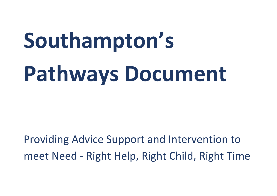# **Southampton's Pathways Document**

Providing Advice Support and Intervention to meet Need - Right Help, Right Child, Right Time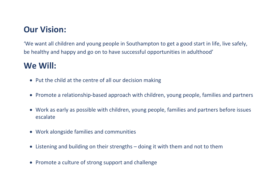## **Our Vision:**

'We want all children and young people in Southampton to get a good start in life, live safely, be healthy and happy and go on to have successful opportunities in adulthood'

## **We Will:**

- Put the child at the centre of all our decision making
- Promote a relationship-based approach with children, young people, families and partners
- Work as early as possible with children, young people, families and partners before issues escalate
- Work alongside families and communities
- Listening and building on their strengths doing it with them and not to them
- Promote a culture of strong support and challenge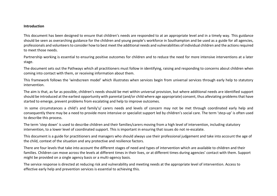#### **Introduction**

This document has been designed to ensure that children's needs are responded to at an appropriate level and in a timely way. This guidance should be seen as overarching guidance for the children and young people's workforce in Southampton and be used as a guide for all agencies, professionals and volunteers to consider how to best meet the additional needs and vulnerabilities of individual children and the actions required to meet those needs.

Partnership working is essential to ensuring positive outcomes for children and to reduce the need for more intensive interventions at a later stage.

The document sets out the Pathways which all practitioners must follow in identifying, raising and responding to concerns about children when coming into contact with them, or receiving information about them.

This framework follows the 'windscreen model' which illustrates when services begin from universal services through early help to statutory intervention.

The aim is that, as far as possible, children's needs should be met within universal provision, but where additional needs are identified support should be introduced at the earliest opportunity with parental (and/or child where age appropriate) consent, thus alleviating problems that have started to emerge, prevent problems from escalating and help to improve outcomes.

In some circumstances a child's and family's/ carers needs and levels of concern may not be met through coordinated early help and consequently there may be a need to provide more intensive or specialist support led by children's social care. The term 'step-up' is often used to describe this process.

The term 'step down' is used to describe children and their families/carers moving from a high level of intervention, including statutory intervention, to a lower level of coordinated support. This is important in ensuring that issues do not re-escalate.

This document is a guide for practitioners and managers who should always use their professional judgement and take into account the age of the child, context of the situation and any protective and resilience factors.

There are four levels that take into account the different stages of need and types of intervention which are available to children and their families. Children can move across the levels at different times in their lives, or at different times during agencies' contact with them. Support might be provided on a single agency basis or a multi-agency basis.

The service response is directed at reducing risk and vulnerability and meeting needs at the appropriate level of intervention. Access to effective early help and prevention services is essential to achieving this.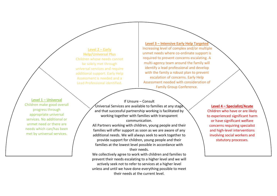**Level 2 – Early Help/Universal Plus** Children whose needs cannot be solely met through universal services and require additional support. Early Help Assessment is needed and a Lead Professional identified.

**Level 3 – Intensive Early Help Targeted**  Increasing level of complex and/or multiple unmet needs where co-ordinate support is required to prevent concerns escalating. A multi-agency team around the family will identify a lead professional and develop with the family a robust plan to prevent escalation of concerns. Early Help Assessment needed with consideration of Family Group Conference.

**Level 1 – Universal** Children make good overall progress through appropriate universal services. No additional or unmet need or there are needs which can/has been met by universal services.

If Unsure – Consult Universal Services are available to families at any stage  $\,$ and that successful partnership working is facilitated by working together with families with transparent communication.

All Partners working with children, young people and their families will offer support as soon as we are aware of any additional needs. We will always seek to work together to provide support for children, young people and their families at the lowest level possible in accordance with their needs.

We collectively agree to work with children and families to prevent their needs escalating to a higher level and we will actively seek not to refer to services at a higher level unless and until we have done everything possible to meet their needs at the current level.

**Level 4 – Specialist/Acute** Children who have or are likely to experienced significant harm or have significant welfare concerns requiring specialist and high-level interventions involving social workers and statutory processes.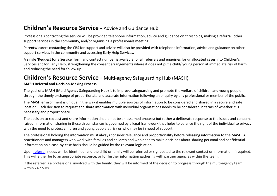## **Children's Resource Service -** Advice and Guidance Hub

Professionals contacting the service will be provided telephone information, advice and guidance on thresholds, making a referral, other support services in the community, and/or organising a professionals meeting.

Parents/ carers contacting the CRS for support and advice will also be provided with telephone information, advice and guidance on other support services in the community and accessing Early Help Services.

A single 'Request for a Service' form and contact number is available for all referrals and enquiries for unallocated cases into Children's Services and/or Early Help, strengthening the consent arrangements where it does not put a child/ young person at immediate risk of harm and reducing the need for follow up.

## **Children's Resource Service -** Multi-agency Safeguarding Hub (MASH)

#### **MASH Referral and Decision-Making Process**

The goal of a MASH (Multi Agency Safeguarding Hub) is to improve safeguarding and promote the welfare of children and young people through the timely exchange of proportionate and accurate information following an enquiry by any professional or member of the public.

The MASH environment is unique in the way it enables multiple sources of information to be considered and shared in a secure and safe location. Each decision to request and share information with individual organisations needs to be considered in terms of whether it is necessary and proportionate.

The decision to request and share information should not be an assumed process; but rather a deliberate response to the issues and concerns raised. Information sharing in these circumstances is governed by a legal framework that helps to balance the right of the individual to privacy with the need to protect children and young people at risk or who may be in need of support.

The professional holding the information must always consider relevance and proportionality before releasing information to the MASH. All practitioners and managers who work with families and children and who need to make decisions about sharing personal and confidential information on a case-by-case basis should be guided by the relevant legislation.

Upon [referral,](https://www.southampton.gov.uk/health-social-care/children/child-social-care/child-protection.aspx) needs will be identified, and the child or family will be referred or signposted to the relevant contact or information if required. This will either be to an appropriate resource, or for further information gathering with partner agencies within the team.

If the referrer is a professional involved with the family, they will be informed of the decision to progress through the multi-agency team within 24 hours.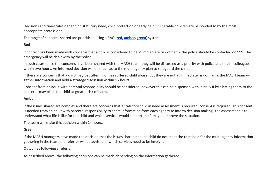Decisions and timescales depend on statutory need, child protection or early help. Vulnerable children are responded to by the most appropriate professional.

The range of concerns shared are prioritised using a RAG (**[red,](https://www.southampton.gov.uk/health-social-care/children/child-social-care/multi-agency-safeguarding-hub.aspx#border-red) [amber,](https://www.southampton.gov.uk/health-social-care/children/child-social-care/multi-agency-safeguarding-hub.aspx#border-amber) [green](https://www.southampton.gov.uk/health-social-care/children/child-social-care/multi-agency-safeguarding-hub.aspx#border-green)**) system.

#### **Red**

If contact has been made with concerns that a child is considered to be at immediate risk of harm, the police should be contacted on 999. The emergency will be dealt with by the police.

In such cases, once the concerns have been shared with the MASH team, they will be discussed as a priority with police and health colleagues within two hours. An informed decision will be made as to the multi-agency plan to safeguard the child.

If there are concerns that a child may be suffering or has suffered child abuse, but they are not at immediate risk of harm, the MASH team will gather information and hold a strategy discussion within six hours.

Consent from an adult with parental responsibility should be considered, however this can be dispensed with initially if by alerting them to the concerns may place the child at greater risk of harm.

#### **Amber**

If the issues shared are complex and there are concerns that a statutory child in need assessment is required, consent is required. This consent is needed from an adult with parental responsibility to share information from each agency to inform decision making. The assessment is to understand what life is like for the child and which services would support the family to improve the situation.

The team will make this decision within 24 hours.

#### **Green**

If the MASH managers have made the decision that the issues shared about a child do not meet the threshold for the multi-agency information gathering in the team, the referrer will be advised of which services need to be involved.

Outcomes following a referral

As described above, the following decisions can be made depending on the information gathered: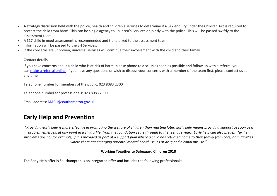- A strategy discussion held with the police, health and children's services to determine if a S47 enquiry under the Children Act is required to protect the child from harm. This can be single agency to Children's Services or jointly with the police. This will be passed swiftly to the assessment team
- A S17 child in need assessment is recommended and transferred to the assessment team
- Information will be passed to the EH Services.
- If the concerns are unproven, universal services will continue their involvement with the child and their family

#### Contact details

If you have concerns about a child who is at risk of harm, please phone to discuss as soon as possible and follow up with a referral you can [make a referral online.](https://www.southampton.gov.uk/health-social-care/children/child-social-care/child-protection.aspx) If you have any questions or wish to discuss your concerns with a member of the team first, please contact us at any time.

Telephone number for members of the public: 023 8083 2300

Telephone number for professionals: 023 8083 2300

Email address: [MASH@southampton.gov.uk](mailto:MASH@southampton.gov.uk)

## **Early Help and Prevention**

*"Providing early help is more effective in promoting the welfare of children than reacting later. Early help means providing support as soon as a problem emerges, at any point in a child's life, from the foundation years through to the teenage years. Early help can also prevent further problems arising; for example, if it is provided as part of a support plan where a child has returned home to their family from care, or in families where there are emerging parental mental health issues or drug and alcohol misuse."*

#### **Working Together to Safeguard Children 2018**

The Early Help offer is Southampton is an integrated offer and includes the following professionals: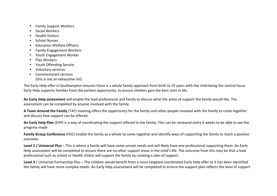- Family Support Workers
- Social Workers
- Health Visitors
- School Nurses
- Education Welfare Officers
- Family Engagement Workers
- Youth Engagement Worker
- Play Workers
- Youth Offending Service
- Voluntary services
- Commissioned services (this is not an exhaustive list)

The Early Help offer in Southampton ensures there is a whole family approach from birth to 19 years with the child being the central focus. Early Help supports families from the earliest opportunity, to ensure children gain the best start in life.

**An Early Help assessment** will enable the lead professional and family to discuss what the areas of support the family would like. The assessment can be completed by anyone involved with the family.

**A Team Around the Family** (TAF) meeting offers the opportunity for the family and other people involved with the family to come together and discuss how support can be offered.

**An Early Help Plan** (EHP) is a way of coordinating the support offered to the family. This can be reviewed every 6 weeks to be able to see the progress made

**Family Group Conference** (FGC) enable the family as a whole to come together and identify ways of supporting the family to reach a positive outcome.

**Level 2 / Universal Plus** – This is where a family will have some unmet needs and will likely have one professional supporting them. An Early Help assessment will be completed to ensure there are no other support areas in the child's life. The outcome from this may be that a lead professional such as school or Health Visitor will support the family by creating a plan of support.

**Level 3** / Universal Partnership Plus – The children would benefit from a more targeted coordinated Early Help offer as it has been identified the family will have more complex needs. An Early Help assessment will be completed to ensure the support plan reflects the level of support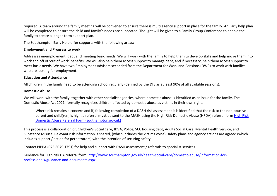required. A team around the family meeting will be convened to ensure there is multi agency support in place for the family. An Early help plan will be completed to ensure the child and family's needs are supported. Thought will be given to a Family Group Conference to enable the family to create a longer-term support plan.

The Southampton Early Help offer supports with the following areas:

#### **Employment and Progress to work**

Addresses unemployment, debt and meeting basic needs. We will work with the family to help them to develop skills and help move them into work and off of 'out of work' benefits. We will also help them access support to manage debt, and if necessary, help them access support to meet basic needs. We have two Employment Advisors seconded from the Department for Work and Pensions (DWP) to work with families who are looking for employment.

#### **Education and Attendance**

All children in the family need to be attending school regularly (defined by the DfE as at least 90% of all available sessions).

#### **Domestic Abuse**

We will work with the family, together with other specialist agencies, where domestic abuse is identified as an issue for the family. The Domestic Abuse Act 2021, formally recognises children affected by domestic abuse as victims in their own right.

Where risk remains a concern and if, following completion of a DASH risk assessment it is identified that the risk to the non-abusive parent and child(ren) is high, a referral **must** be sent to the MASH using the High-Risk Domestic Abuse (HRDA) referral form [High Risk](http://www.southampton.gov.uk/images/hrda-referral-form_tcm63-412443.pdf)  [Domestic Abuse Referral Form \(southampton.gov.uk\)](http://www.southampton.gov.uk/images/hrda-referral-form_tcm63-412443.pdf)

This process is a collaboration of; Children's Social Care, IDVA, Police, SCC housing dept, Adults Social Care, Mental Health Service, and Substance Misuse. Relevant risk information is shared, (which includes the victims voice), safety plans and agency actions are agreed (which includes support / action for perpetrators) with the intention of securing safety.

Contact PIPPA (023 8079 1791) for help and support with DASH assessment / referrals to specialist services.

Guidance for High risk DA referral form: [http://www.southampton.gov.uk/health-social-care/domestic-abuse/information-for](http://www.southampton.gov.uk/health-social-care/domestic-abuse/information-for-professionals/guidance-and-documents.aspx)[professionals/guidance-and-documents.aspx](http://www.southampton.gov.uk/health-social-care/domestic-abuse/information-for-professionals/guidance-and-documents.aspx)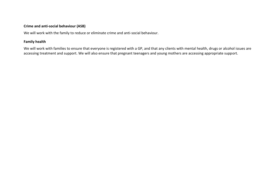#### **Crime and anti-social behaviour (ASB)**

We will work with the family to reduce or eliminate crime and anti-social behaviour.

#### **Family health**

We will work with families to ensure that everyone is registered with a GP, and that any clients with mental health, drugs or alcohol issues are accessing treatment and support. We will also ensure that pregnant teenagers and young mothers are accessing appropriate support.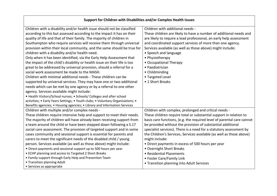| Support for Children with Disabilities and/or Complex Health Issues             |                                                                        |
|---------------------------------------------------------------------------------|------------------------------------------------------------------------|
| Children with a disability and/or health issue should not be classified         | Children with additional needs -                                       |
| according to this but assessed according to the impact it has on their          | These children are likely to have a number of additional needs and     |
| quality of life and that of their family. The majority of children in           | are likely to require a lead professional, an early help assessment    |
| Southampton who require services will receive them through universal            | and coordinated support services of more than one agency.              |
| provision within their local community, and the same should be true for         | Services available (as well as those above) might include:             |
| children with a disability and/or health need.                                  | • Speech and language                                                  |
| Only when it has been identified, via the Early Help Assessment that            | • Physiotherapy                                                        |
| the impact of the child's disability or health issue on their life is too       | • Occupational Therapy                                                 |
| great to be addressed by universal provision, should a referral for a           | • Paediatrician                                                        |
| social work assessment be made to the MASH.                                     | • Childminding                                                         |
| Children with minimal additional needs - These children can be                  | • Targeted Level                                                       |
| supported by universal services. They may have one or two additional            | • 1 Short Breaks                                                       |
| needs which can be met by one agency or by a referral to one other              |                                                                        |
| agency. Services available might include:                                       |                                                                        |
| • Health Visitors/School nurses; • Schools/ Colleges and after school           |                                                                        |
| activities; • Early Years Settings; • Youth clubs; • Voluntary Organisations; • |                                                                        |
| Benefits agencies; • Housing agencies; • Library and Information Services       |                                                                        |
| Children with multiple and/or complex needs -                                   | Children with complex, prolonged and critical needs -                  |
| These children require intensive help and support to meet their needs.          | These children require total or substantial support in relation to     |
| The majority of children will have already been receiving support from          | basis care functions, (e.g. the required level of parental care cannot |
| a team around the child or have been stepped down following a S.17              | be provided without the provision of substantial additional            |
| social care assessment. The provision of targeted support and in some           | specialist services). There is a need for a statutory assessment by    |
| cases community and sessional support is essential for parents and              | the Children's Services. Services available (as well as those above)   |
| carers to meet the significant needs of the disabled child / young              | might include:                                                         |
| person. Services available (as well as those above) might include:              | • Direct payments in excess of 500 hours per year                      |
| • Direct payments and sessional support up to 500 hours per year                | • Overnight Short Breaks                                               |
| • ECHP planning and access to Targeted 2 Short Breaks                           | • Residential Placements                                               |
| • Family support through Early Help and Prevention Team                         | • Foster Care/Family Link                                              |
| • Transition planning Adult                                                     | • Transition planning into Adult Services                              |
| • Services as appropriate                                                       |                                                                        |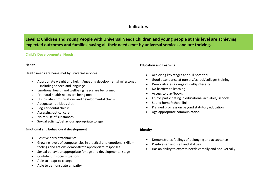#### **Indicators**

### **Level 1: Children and Young People with Universal Needs Children and young people at this level are achieving expected outcomes and families having all their needs met by universal services and are thriving.**

#### **Child's Developmental Needs:**

#### **Health**

#### Health needs are being met by universal services

- Appropriate weight and height/meeting developmental milestones – including speech and language
- Emotional health and wellbeing needs are being met
- Pre-natal health needs are being met
- Up to date immunisations and developmental checks
- Adequate nutritious diet
- Regular dental checks
- Accessing optical care
- No misuse of substances
- Sexual activity/behaviour appropriate to age

#### **Emotional and behavioural development**

- Positive early attachments
- Growing levels of competencies in practical and emotional skills feelings and actions demonstrate appropriate responses
- Sexual behaviour appropriate for age and developmental stage
- Confident in social situations
- Able to adapt to change
- Able to demonstrate empathy

#### **Education and Learning**

- Achieving key stages and full potential
- Good attendance at nursery/school/college/ training
- Demonstrates a range of skills/interests
- No barriers to learning
- Access to play/books
- Enjoys participating in educational activities/ schools
- Sound home/school link
- Planned progression beyond statutory education
- Age appropriate communication
- **Identity**
	- Demonstrates feelings of belonging and acceptance
	- Positive sense of self and abilities
	- Has an ability to express needs verbally and non-verbally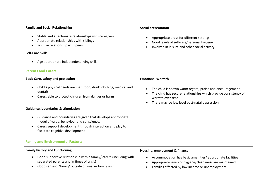#### **Family and Social Relationships**

- Stable and affectionate relationships with caregivers
- Appropriate relationships with siblings
- Positive relationship with peers

#### **Self-Care Skills**

Age appropriate independent living skills

#### **Parents and Carers:**

#### **Basic Care, safety and protection**

- Child's physical needs are met (food, drink, clothing, medical and dental)
- Carers able to protect children from danger or harm

#### **Guidance, boundaries & stimulation**

- Guidance and boundaries are given that develops appropriate model of value, behaviour and conscience.
- Carers support development through interaction and play to facilitate cognitive development

#### **Family and Environmental Factors:**

#### **Family history and Functioning**

- Good supportive relationship within family/ carers (including with separated parents and in times of crisis)
- Good sense of 'family' outside of smaller family unit

#### **Social presentation**

- Appropriate dress for different settings
- Good levels of self-care/personal hygiene
- Involved in leisure and other social activity

#### **Emotional Warmth**

- The child is shown warm regard, praise and encouragement
- The child has secure relationships which provide consistency of warmth over time
- There may be low level post-natal depression

#### **Housing, employment & finance**

- Accommodation has basic amenities/ appropriate facilities
- Appropriate levels of hygiene/cleanliness are maintained
- Families affected by low income or unemployment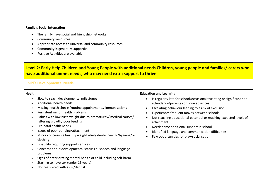#### **Family's Social Integration**

- The family have social and friendship networks
- Community Resources
- Appropriate access to universal and community resources
- Community is generally supportive
- Positive Activities are available

### **Level 2: Early Help Children and Young People with additional needs Children, young people and families/ carers who have additional unmet needs, who may need extra support to thrive**

#### **Child's Developmental Needs:**

#### **Health**

- Slow to reach developmental milestones
- Additional health needs
- Missing health checks/routine appointments/ immunisations
- Persistent minor health problems
- Babies with low birth weight due to prematurity/ medical causes/ faltering growth/ poor feeding
- Pre-natal health needs
- Issues of poor bonding/attachment
- Minor concerns re healthy weight /diet/ dental health /hygiene/or clothing
- Disability requiring support services
- Concerns about developmental status i.e. speech and language problems
- Signs of deteriorating mental health of child including self-harm
- Starting to have sex (under 16 years)
- Not registered with a GP/dentist

#### **Education and Learning**

- Is regularly late for school/occasional truanting or significant nonattendance/parents condone absences
- Escalating behaviour leading to a risk of exclusion
- Experiences frequent moves between schools
- Not reaching educational potential or reaching expected levels of attainment
- Needs some additional support in school
- Identified language and communication difficulties
- Few opportunities for play/socialisation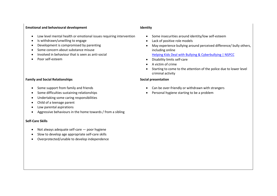#### **Emotional and behavioural development**

- Low level mental health or emotional issues requiring intervention
- Is withdrawn/unwilling to engage
- Development is compromised by parenting
- Some concern about substance misuse
- Involved in behaviour that is seen as anti-social
- Poor self-esteem

#### **Family and Social Relationships**

- Some support from family and friends
- Some difficulties sustaining relationships
- Undertaking some caring responsibilities
- Child of a teenage parent
- Low parental aspirations
- Aggressive behaviours in the home towards / from a sibling

#### **Self-Care Skills**

- Not always adequate self-care poor hygiene
- Slow to develop age appropriate self-care skills
- Overprotected/unable to develop independence

#### **Identity**

- Some insecurities around identity/low self-esteem
- Lack of positive role models
- May experience bullying around perceived difference/ bully others, including online [Helping Kids Deal with Bullying & Cyberbullying | NSPCC](https://www.nspcc.org.uk/what-is-child-abuse/types-of-abuse/bullying-and-cyberbullying/)
- Disability limits self-care
- A victim of crime
- Starting to come to the attention of the police due to lower level criminal activity

#### **Social presentation**

- Can be over-friendly or withdrawn with strangers
- Personal hygiene starting to be a problem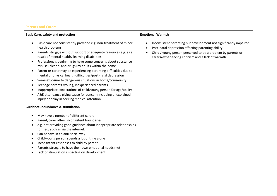#### **Parents and Carers:**

#### **Basic Care, safety and protection**

- Basic care not consistently provided e.g. non-treatment of minor health problems
- Parents struggle without support or adequate resources e.g. as a result of mental health/ learning disabilities.
- Professionals beginning to have some concerns about substance misuse (alcohol and drugs) by adults within the home
- Parent or carer may be experiencing parenting difficulties due to mental or physical health difficulties/post-natal depression
- Some exposure to dangerous situations in home/community
- Teenage parents /young, inexperienced parents
- Inappropriate expectations of child/young person for age/ability
- A&E attendance giving cause for concern including unexplained injury or delay in seeking medical attention

#### **Guidance, boundaries & stimulation**

- May have a number of different carers
- Parent/carer offers inconsistent boundaries
- e.g. not providing good guidance about inappropriate relationships formed, such as via the internet.
- Can behave in an anti-social way
- Child/young person spends a lot of time alone
- Inconsistent responses to child by parent
- Parents struggle to have their own emotional needs met
- Lack of stimulation impacting on development

#### **Emotional Warmth**

- Inconsistent parenting but development not significantly impaired
- Post-natal depression affecting parenting ability
- Child / young person perceived to be a problem by parents or carers/experiencing criticism and a lack of warmth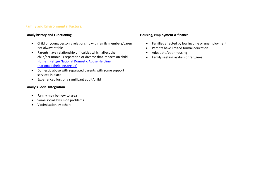#### **Family and Environmental Factors:**

#### **Family history and Functioning**

- Child or young person's relationship with family members/carers not always stable
- Parents have relationship difficulties which affect the child/acrimonious separation or divorce that impacts on child [Home | Refuge National Domestic Abuse Helpline](https://www.nationaldahelpline.org.uk/)  [\(nationaldahelpline.org.uk\)](https://www.nationaldahelpline.org.uk/)
- Domestic abuse with separated parents with some support services in place
- Experienced loss of a significant adult/child

#### **Family's Social Integration**

- Family may be new to area
- Some social exclusion problems
- Victimisation by others

#### **Housing, employment & finance**

- Families affected by low income or unemployment
- Parents have limited formal education
- Adequate/poor housing
- Family seeking asylum or refugees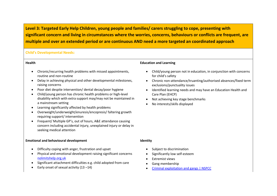**Level 3: Targeted Early Help Children, young people and families/ carers struggling to cope, presenting with significant concern and living in circumstances where the worries, concerns, behaviours or conflicts are frequent, are multiple and over an extended period or are continuous AND need a more targeted an coordinated approach** 

#### **Child's Developmental Needs:**

#### **Health**

- Chronic/recurring health problems with missed appointments, routine and non-routine
- Delay in achieving physical and other developmental milestones, raising concerns
- Poor diet despite intervention/ dental decay/poor hygiene
- Child/young person has chronic health problems or high-level disability which with extra support may/may not be maintained in a mainstream setting
- Learning significantly affected by health problems
- Overweight/underweight/enuresis/encopresis/ faltering growth requiring support/ intervention
- Frequent/ Multiple GP's, out of hours, A&E attendance causing concern including accidental injury, unexplained injury or delay in seeking medical attention

#### **Emotional and behavioural development**

- Difficulty coping with anger, frustration and upset
- Physical and emotional development raising significant concerns [nolimitshelp.org.uk](https://nolimitshelp.org.uk/)
- Significant attachment difficulties e.g. child adopted from care
- Early onset of sexual activity (13 –14)

#### **Education and Learning**

- Child/young person not in education, in conjunction with concerns for child's safety
- Chronic non-attendance/truanting/authorised absences/fixed term exclusions/punctuality issues
- Identified learning needs and may have an Education Health and Care Plan (EHCP)
- Not achieving key stage benchmarks
- No interests/skills displayed

- **Identity**
	- Subject to discrimination
	- Significantly low self-esteem
	- Extremist views
	- Gang membership
	- [Criminal exploitation and gangs | NSPCC](https://www.nspcc.org.uk/what-is-child-abuse/types-of-abuse/gangs-criminal-exploitation/)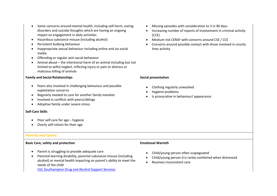- Some concerns around mental health, including self-harm, eating disorders and suicidal thoughts which are having an ongoing impact on engagement in daily activities
- Hazardous substance misuse (including alcohol)
- Persistent bullying behaviour
- Inappropriate sexual behaviour including online and via social media
- Offending or regular anti-social behaviour
- Animal abuse the intentional harm of an animal including but not limited to wilful neglect, inflicting injury or pain or distress or malicious killing of animals

#### **Family and Social Relationships**

- Peers also involved in challenging behaviour and possible exploitation concerns
- Regularly needed to care for another family member
- Involved in conflicts with peers/siblings
- Adoptive family under severe stress

#### **Self-Care Skills**

- Poor self-care for age hygiene
- Overly self-reliant for their age

#### **Parents and Carers:**

#### **Basic Care, safety and protection**

- Parent is struggling to provide adequate care
- Parental learning disability, parental substance misuse (including alcohol) or mental health impacting on parent's ability to meet the needs of the child

[CGL Southampton Drug and Alcohol Support Services](https://www.changegrowlive.org/drug-alcohol-service-southampton/info)

- Missing episodes with consideration to 3 in 90 days
- Increasing number of reports of involvement in criminal activity (CCE)
- Medium risk CERAF with concerns around CSE / CCE
- Concerns around possible contact with those involved in county lines activity

#### **Social presentation**

- Clothing regularly unwashed
- Hygiene problems
- Is provocative in behaviour/ appearance

#### **Emotional Warmth**

- Child/young person often scapegoated
- Child/young person d is rarely comforted when distressed
- Receives inconsistent care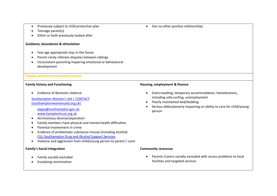- Previously subject to child protection plan
- Teenage parent(s)
- Either or both previously looked after

#### **Guidance, boundaries & stimulation**

- Few age appropriate toys in the house
- Parent rarely referees disputes between siblings
- Inconsistent parenting impairing emotional or behavioural development

#### **Family and Environmental Factors:**

#### **Family history and Functioning**

Evidence of domestic violence

[Southampton Women's Aid | CONTACT](https://www.southamptonwomensaid.org.uk/contact-us)  [\(southamptonwomensaid.org.uk\)](https://www.southamptonwomensaid.org.uk/contact-us)

[pippa@southampton.gov.uk](mailto:pippa@southampton.gov.uk) [www.hamptontrust.org.uk](http://www.hamptontrust.org.uk/)

- Acrimonious divorce/separation
- Family members have physical and mental health difficulties
- Parental involvement in crime
- Evidence of problematic substance misuse (including alcohol) [CGL Southampton Drug and Alcohol Support Services](https://www.changegrowlive.org/drug-alcohol-service-southampton/info)
- Violence and aggression from child/young person to parent / carer

#### **Family's Social Integration**

- Family socially excluded
- Escalating victimisation

#### **Housing, employment & finance**

- Overcrowding, temporary accommodation, homelessness, including sofa-surfing, unemployment
- Poorly maintained bed/bedding
- Serious debts/poverty impacting on ability to care for child/young person

#### **Community resources**

 Parents /carers socially excluded with access problems to local facilities and targeted services

#### • Has no other positive relationships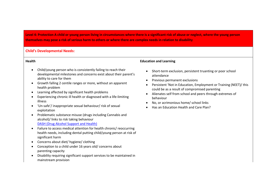**Level 4: Protection A child or young person living in circumstances where there is a significant risk of abuse or neglect, where the young person themselves may pose a risk of serious harm to others or where there are complex needs in relation to disability** 

#### **Child's Developmental Needs:**

#### **Health**

- Child/young person who is consistently failing to reach their developmental milestones and concerns exist about their parent's ability to care for them
- Growth falling 2 centile ranges or more, without an apparent health problem
- Learning affected by significant health problems
- Experiencing chronic ill health or diagnosed with a life-limiting illness
- 'Un-safe'/ inappropriate sexual behaviour/ risk of sexual exploitation
- Problematic substance misuse (drugs including Cannabis and alcohol)/ links to risk taking behaviour [DASH \(Drug Alcohol Support and Health\)](https://nolimitshelp.org.uk/get-help/health-welbeing/drugs-and-alcohol/)
- Failure to access medical attention for health chronic/ reoccurring health needs, including dental putting child/young person at risk of significant harm
- Concerns about diet/ hygiene/ clothing
- Conception to a child under 16 years old/ concerns about parenting capacity
- Disability requiring significant support services to be maintained in mainstream provision

#### **Education and Learning**

- Short-term exclusion, persistent truanting or poor school attendance
- Previous permanent exclusions
- Persistent 'Not in Education, Employment or Training (NEET)/ this could be as a result of compromised parenting
- Alienates self from school and peers through extremes of behaviour
- No, or acrimonious home/ school links
- Has an Education Health and Care Plan?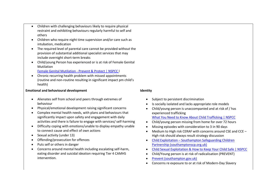- Children with challenging behaviours likely to require physical restraint and exhibiting behaviours regularly harmful to self and others
- Children who require night time supervision and/or care such as intubation, medication
- The required level of parental care cannot be provided without the provision of substantial additional specialist services that may include overnight short-term breaks
- Child/young Person has experienced or is at risk of Female Genital Mutilation

[Female Genital Mutilation -](https://www.nspcc.org.uk/what-is-child-abuse/types-of-abuse/female-genital-mutilation-fgm/) Prevent & Protect | NSPCC l

 Chronic recurring health problem with missed appointments (routine and non-routine resulting in significant impact pm child's health)

#### **Emotional and behavioural development**

- Alienates self from school and peers through extremes of behaviour
- Physical/emotional development raising significant concerns
- Complex mental health needs, with plans and behaviours that significantly impact upon safety and engagement with daily activities and there is failure to engage with services/ self-harming
- Difficulty coping with emotions/unable to display empathy unable to connect cause and effect of own actions
- Sexual activity (under 13)
- Offending/prosecution for offences
- Puts self or others in danger
- Concerns around mental health including escalating self-harm, eating disorder and suicidal ideation requiring Tier 4 CAMHS intervention.

#### **Identity**

- Subject to persistent discrimination
- Is socially isolated and lacks appropriate role models
- Child/young person is unaccompanied and at risk of / has experienced trafficking
	- [What You Need to Know About Child Trafficking | NSPCC](https://www.nspcc.org.uk/what-is-child-abuse/types-of-abuse/child-trafficking/)
- Child/young person missing from home for over 72 hours
- Missing episodes with consideration to 3 in 90 days
- Medium to High risk CERAF with concerns around CSE and CCE High risk should always result strategy discussion
- Child Exploitation [Southampton Safeguarding Children](https://southamptonscp.org.uk/child-exploitation/)  [Partnership \(southamptonscp.org.uk\)](https://southamptonscp.org.uk/child-exploitation/)
- [Child Sexual Exploitation & How to Keep Your Child Safe | NSPCC](https://www.nspcc.org.uk/what-is-child-abuse/types-of-abuse/child-sexual-exploitation/)
- Child/Young person is at risk of radicalisation (PREVENT)
- [Prevent \(southampton.gov.uk\)](https://www.southampton.gov.uk/council-democracy/partnership-working/safe-city/prevent.aspx)
- Concerns re exposure to or at risk of Modern-Day Slavery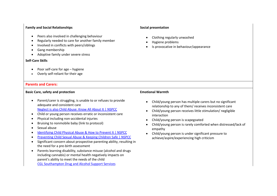#### **Family and Social Relationships**

- Peers also involved in challenging behaviour
- Regularly needed to care for another family member
- Involved in conflicts with peers/siblings
- Gang membership
- Adoptive family under severe stress

#### **Self-Care Skills**

- Poor self-care for age hygiene
- Overly self-reliant for their age

#### **Parents and Carers:**

#### **Basic Care, safety and protection**

- Parent/carer is struggling, is unable to or refuses to provide adequate and consistent care [Neglect is also Child Abuse: Know All About It | NSPCC](https://www.nspcc.org.uk/what-is-child-abuse/types-of-abuse/neglect/)
- Child or young person receives erratic or inconsistent care
- Physical including non-accidental injuries
- Bruising to nonmobile baby (link to protocol)
- Sexual abuse
- [Identifying Child Physical Abuse & How to Prevent It | NSPCC](https://www.nspcc.org.uk/what-is-child-abuse/types-of-abuse/physical-abuse/)
- [Preventing Child Sexual Abuse & Keeping Children Safe | NSPCC](https://www.nspcc.org.uk/what-is-child-abuse/types-of-abuse/child-sexual-abuse/)
- Significant concern about prospective parenting ability, resulting in the need for a pre-birth assessment
- Parents learning disability, substance misuse (alcohol and drugs including cannabis) or mental health negatively impacts on parent's ability to meet the needs of the child [CGL Southampton Drug and Alcohol Support Services](https://www.changegrowlive.org/drug-alcohol-service-southampton/info)

#### **Social presentation**

- Clothing regularly unwashed
- Hygiene problems
- Is provocative in behaviour/appearance

#### **Emotional Warmth**

- Child/young person has multiple carers but no significant relationship to any of them/ receives inconsistent care
- Child/young person receives little stimulation/ negligible interaction
- Child/young person is scapegoated
- Child/young person is rarely comforted when distressed/lack of empathy
- Child/young person is under significant pressure to achieve/aspire/experiencing high criticism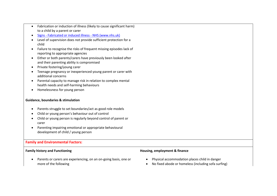- Fabrication or induction of illness (likely to cause significant harm) to a child by a parent or carer
- Signs [Fabricated or induced illness -](https://www.nhs.uk/mental-health/conditions/fabricated-or-induced-illness/signs/) NHS (www.nhs.uk)
- Level of supervision does not provide sufficient protection for a child
- Failure to recognise the risks of frequent missing episodes lack of reporting to appropriate agencies
- Either or both parents/carers have previously been looked after and their parenting ability is compromised
- Private fostering/young carer
- Teenage pregnancy or inexperienced young parent or carer with additional concerns
- Parental capacity to manage risk in relation to complex mental health needs and self-harming behaviours
- Homelessness for young person

#### **Guidance, boundaries & stimulation**

- Parents struggle to set boundaries/act as good role models
- Child or young person's behaviour out of control
- Child or young person is regularly beyond control of parent or carer
- Parenting impairing emotional or appropriate behavioural development of child / young person

#### **Family and Environmental Factors:**

#### **Family history and Functioning**

#### **Housing, employment & finance**

- Parents or carers are experiencing, on an on-going basis, one or more of the following
- Physical accommodation places child in danger
- No fixed abode or homeless (including sofa surfing)